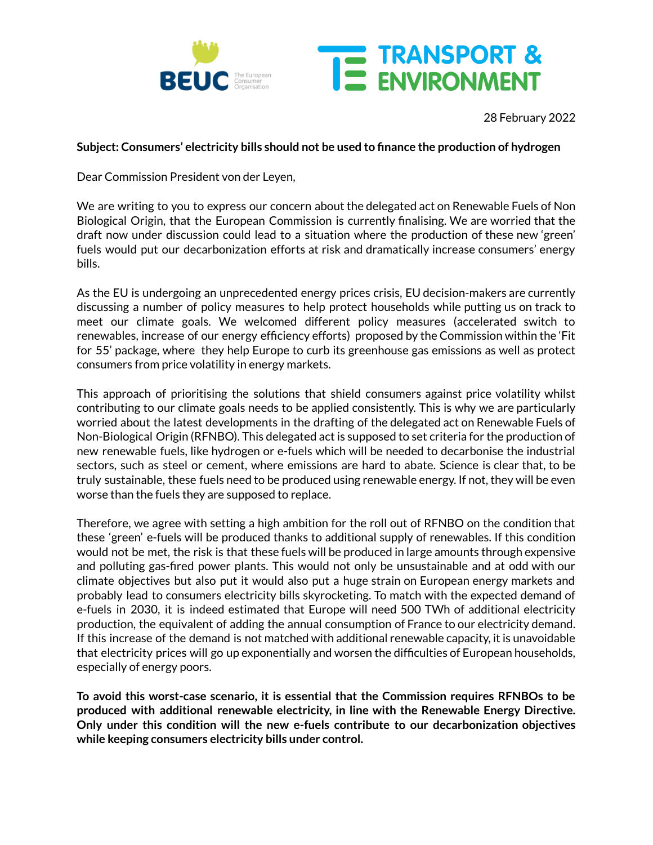

## 28 February 2022

THE TRANSPORT &

## **Subject: Consumers' electricity bills should not be used to finance the production of hydrogen**

Dear Commission President von der Leyen,

We are writing to you to express our concern about the delegated act on Renewable Fuels of Non Biological Origin, that the European Commission is currently finalising. We are worried that the draft now under discussion could lead to a situation where the production of these new 'green' fuels would put our decarbonization efforts at risk and dramatically increase consumers' energy bills.

As the EU is undergoing an unprecedented energy prices crisis, EU decision-makers are currently discussing a number of policy measures to help protect households while putting us on track to meet our climate goals. We welcomed different policy measures (accelerated switch to renewables, increase of our energy efficiency efforts) proposed by the Commission within the 'Fit for 55' package, where they help Europe to curb its greenhouse gas emissions as well as protect consumers from price volatility in energy markets.

This approach of prioritising the solutions that shield consumers against price volatility whilst contributing to our climate goals needs to be applied consistently. This is why we are particularly worried about the latest developments in the drafting of the delegated act on Renewable Fuels of Non-Biological Origin (RFNBO). This delegated act is supposed to set criteria for the production of new renewable fuels, like hydrogen or e-fuels which will be needed to decarbonise the industrial sectors, such as steel or cement, where emissions are hard to abate. Science is clear that, to be truly sustainable, these fuels need to be produced using renewable energy. If not, they will be even worse than the fuels they are supposed to replace.

Therefore, we agree with setting a high ambition for the roll out of RFNBO on the condition that these 'green' e-fuels will be produced thanks to additional supply of renewables. If this condition would not be met, the risk is that these fuels will be produced in large amounts through expensive and polluting gas-fired power plants. This would not only be unsustainable and at odd with our climate objectives but also put it would also put a huge strain on European energy markets and probably lead to consumers electricity bills skyrocketing. To match with the expected demand of e-fuels in 2030, it is indeed estimated that Europe will need 500 TWh of additional electricity production, the equivalent of adding the annual consumption of France to our electricity demand. If this increase of the demand is not matched with additional renewable capacity, it is unavoidable that electricity prices will go up exponentially and worsen the difficulties of European households, especially of energy poors.

**To avoid this worst-case scenario, it is essential that the Commission requires RFNBOs to be produced with additional renewable electricity, in line with the Renewable Energy Directive. Only under this condition will the new e-fuels contribute to our decarbonization objectives while keeping consumers electricity bills under control.**